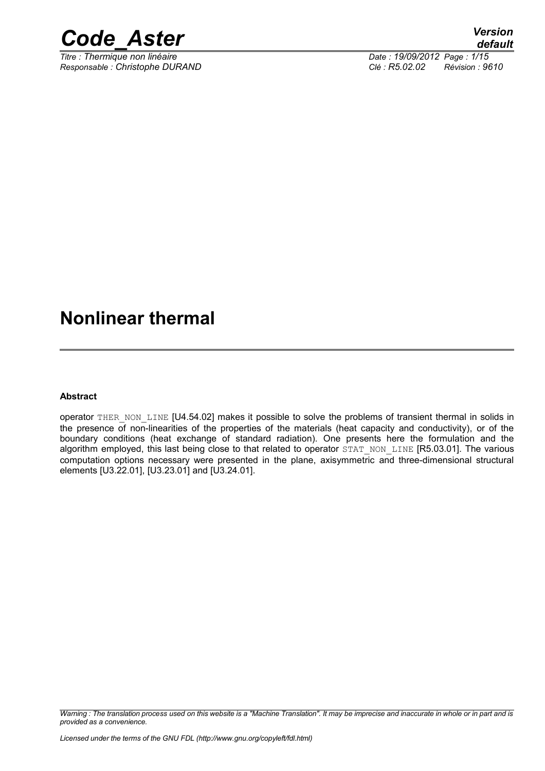

*Titre : Thermique non linéaire Date : 19/09/2012 Page : 1/15 Responsable : Christophe DURAND Clé : R5.02.02 Révision : 9610*

## **Nonlinear thermal**

#### **Abstract**

operator THER\_NON\_LINE [U4.54.02] makes it possible to solve the problems of transient thermal in solids in the presence of non-linearities of the properties of the materials (heat capacity and conductivity), or of the boundary conditions (heat exchange of standard radiation). One presents here the formulation and the algorithm employed, this last being close to that related to operator STAT\_NON\_LINE [R5.03.01]. The various computation options necessary were presented in the plane, axisymmetric and three-dimensional structural elements [U3.22.01], [U3.23.01] and [U3.24.01].

*Warning : The translation process used on this website is a "Machine Translation". It may be imprecise and inaccurate in whole or in part and is provided as a convenience.*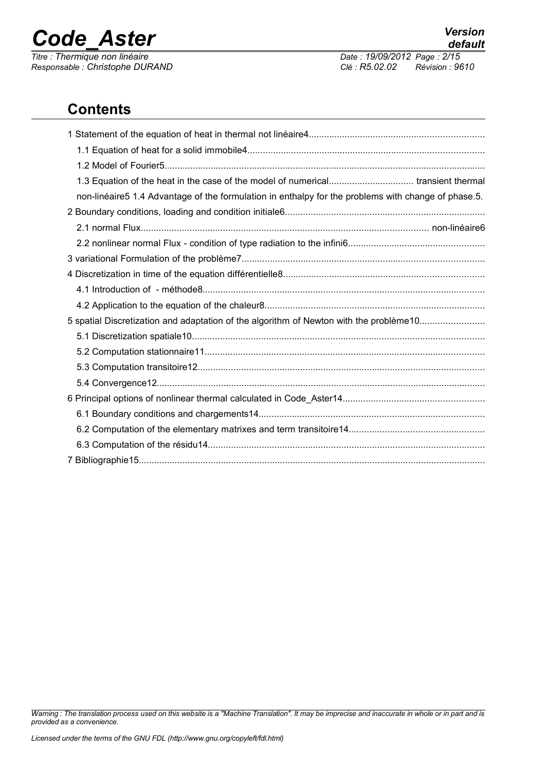*Responsable : Christophe DURAND Clé : R5.02.02 Révision : 9610*

*default Titre : Thermique non linéaire Date : 19/09/2012 Page : 2/15*

## **Contents**

| 1.3 Equation of the heat in the case of the model of numerical transient thermal                    |
|-----------------------------------------------------------------------------------------------------|
| non-linéaire5 1.4 Advantage of the formulation in enthalpy for the problems with change of phase.5. |
|                                                                                                     |
|                                                                                                     |
|                                                                                                     |
|                                                                                                     |
|                                                                                                     |
|                                                                                                     |
|                                                                                                     |
| 5 spatial Discretization and adaptation of the algorithm of Newton with the problème10              |
|                                                                                                     |
|                                                                                                     |
|                                                                                                     |
|                                                                                                     |
|                                                                                                     |
|                                                                                                     |
|                                                                                                     |
|                                                                                                     |
|                                                                                                     |

*Warning : The translation process used on this website is a "Machine Translation". It may be imprecise and inaccurate in whole or in part and is provided as a convenience.*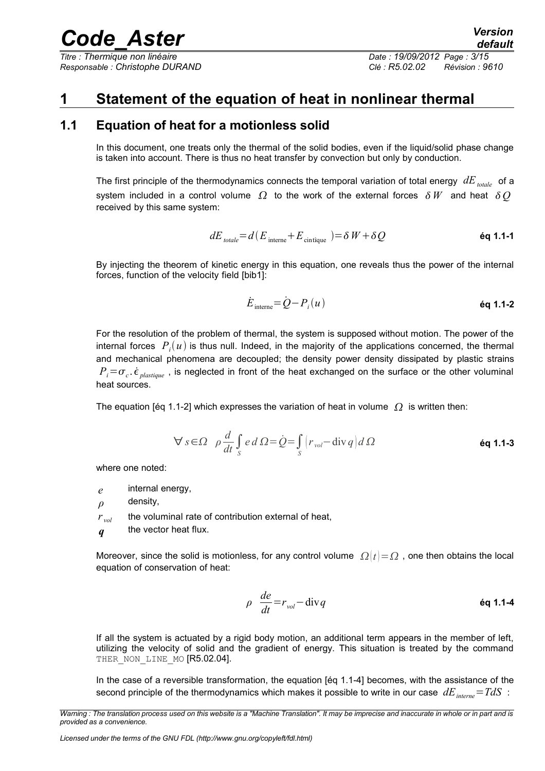*Titre : Thermique non linéaire Date : 19/09/2012 Page : 3/15 Responsable : Christophe DURAND Clé : R5.02.02 Révision : 9610*

### **1 Statement of the equation of heat in nonlinear thermal**

#### **1.1 Equation of heat for a motionless solid**

In this document, one treats only the thermal of the solid bodies, even if the liquid/solid phase change is taken into account. There is thus no heat transfer by convection but only by conduction.

The first principle of the thermodynamics connects the temporal variation of total energy *dEtotale* of a system included in a control volume  $\Omega$  to the work of the external forces  $\delta W$  and heat  $\delta O$ received by this same system:

$$
dE_{\text{total}} = d(E_{\text{interne}} + E_{\text{cintique}}) = \delta W + \delta Q \tag{6q 1.1-1}
$$

By injecting the theorem of kinetic energy in this equation, one reveals thus the power of the internal forces, function of the velocity field [bib1]:

$$
\dot{E}_{\text{interne}} = \dot{Q} - P_i(u) \tag{6q 1.1-2}
$$

For the resolution of the problem of thermal, the system is supposed without motion. The power of the internal forces  $\ P_i(u)$  is thus null. Indeed, in the majority of the applications concerned, the thermal and mechanical phenomena are decoupled; the density power density dissipated by plastic strains  $P_i = \sigma_c$ .  $\dot{\epsilon}$  <sub>plastique</sub>, is neglected in front of the heat exchanged on the surface or the other voluminal heat sources.

The equation [éq 1.1-2] which expresses the variation of heat in volume  $\Omega$  is written then:

$$
\forall s \in \Omega \quad \rho \frac{d}{dt} \int_{S} e d\Omega = \dot{Q} = \int_{S} \left( r_{vol} - \text{div} q \right) d\Omega
$$

where one noted:

*e* internal energy,

*ρ* density,

 $r_{vol}$  the voluminal rate of contribution external of heat,

*q* the vector heat flux.

Moreover, since the solid is motionless, for any control volume  $\Omega(t) = \Omega$  , one then obtains the local equation of conservation of heat:

$$
\rho \frac{de}{dt} = r_{vol} - \text{div} q \qquad \qquad \text{Eq 1.1-4}
$$

If all the system is actuated by a rigid body motion, an additional term appears in the member of left, utilizing the velocity of solid and the gradient of energy. This situation is treated by the command THER NON LINE MO [R5.02.04].

In the case of a reversible transformation, the equation [éq 1.1-4] becomes, with the assistance of the second principle of the thermodynamics which makes it possible to write in our case *dEinterne*=*TdS* :

*Warning : The translation process used on this website is a "Machine Translation". It may be imprecise and inaccurate in whole or in part and is provided as a convenience.*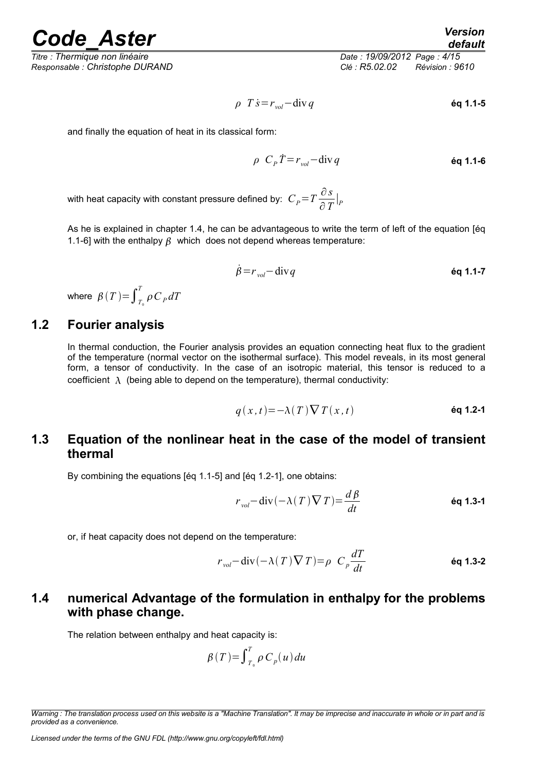*Responsable : Christophe DURAND Clé : R5.02.02 Révision : 9610*

*Titre : Thermique non linéaire Date : 19/09/2012 Page : 4/15*

$$
\rho \hspace{.15cm} T \hspace{.05cm} \dot{s} = r_{\text{vol}} - \text{div} \hspace{1.05cm} q \hspace{3.2cm} \text{\'eq 1.1-5}
$$

and finally the equation of heat in its classical form:

$$
\rho \ C_p \dot{T} = r_{vol} - \text{div} \, q \tag{60.11-6}
$$

with heat capacity with constant pressure defined by:  $\; C_P^{} \! = \! T \frac{\partial \, s}{\partial \; T}$  $\frac{\partial}{\partial T}\big|_P$ 

As he is explained in chapter 1.4, he can be advantageous to write the term of left of the equation [éq 1.1-6] with the enthalpy  $\beta$  which does not depend whereas temperature:

$$
\dot{\beta} = r_{vol} - \text{div}\,q \tag{6q 1.1-7}
$$

where  $\beta(T) = \int_{T_0}^{T} \rho C_P dT$ 

#### **1.2 Fourier analysis**

In thermal conduction, the Fourier analysis provides an equation connecting heat flux to the gradient of the temperature (normal vector on the isothermal surface). This model reveals, in its most general form, a tensor of conductivity. In the case of an isotropic material, this tensor is reduced to a coefficient  $\lambda$  (being able to depend on the temperature), thermal conductivity:

$$
q(x,t) = -\lambda(T)\nabla T(x,t)
$$

#### **1.3 Equation of the nonlinear heat in the case of the model of transient thermal**

By combining the equations [éq 1.1-5] and [éq 1.2-1], one obtains:

$$
r_{vol} - \operatorname{div}(-\lambda(T)\nabla T) = \frac{d\beta}{dt}
$$
 **éq 1.3-1**

or, if heat capacity does not depend on the temperature:

$$
r_{vol} - \text{div}(-\lambda(T)\nabla T) = \rho \ C_p \frac{dT}{dt}
$$
 **éq 1.3-2**

#### **1.4 numerical Advantage of the formulation in enthalpy for the problems with phase change.**

The relation between enthalpy and heat capacity is:

$$
\beta(T) = \int_{T_0}^{T} \rho C_p(u) du
$$

*Warning : The translation process used on this website is a "Machine Translation". It may be imprecise and inaccurate in whole or in part and is provided as a convenience.*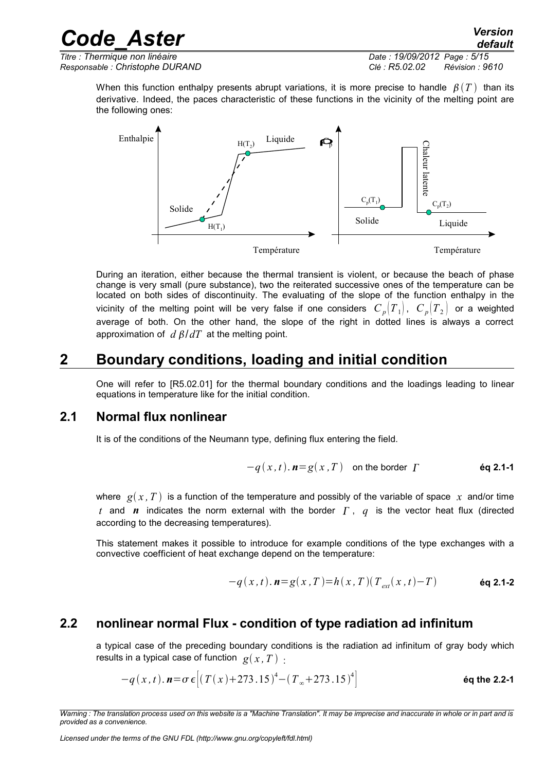*Titre : Thermique non linéaire Date : 19/09/2012 Page : 5/15 Responsable : Christophe DURAND Clé : R5.02.02 Révision : 9610*

When this function enthalpy presents abrupt variations, it is more precise to handle  $\beta(T)$  than its derivative. Indeed, the paces characteristic of these functions in the vicinity of the melting point are the following ones:



During an iteration, either because the thermal transient is violent, or because the beach of phase change is very small (pure substance), two the reiterated successive ones of the temperature can be located on both sides of discontinuity. The evaluating of the slope of the function enthalpy in the vicinity of the melting point will be very false if one considers  $C_p|T_1|$ ,  $C_p|T_2|$  or a weighted average of both. On the other hand, the slope of the right in dotted lines is always a correct approximation of  $d \beta / dT$  at the melting point.

### **2 Boundary conditions, loading and initial condition**

One will refer to [R5.02.01] for the thermal boundary conditions and the loadings leading to linear equations in temperature like for the initial condition.

#### **2.1 Normal flux nonlinear**

It is of the conditions of the Neumann type, defining flux entering the field.

$$
-q(x,t)
$$
.  $n=g(x,T)$  on the border  $\Gamma$  *Eq 2.1-1*

where  $g(x, T)$  is a function of the temperature and possibly of the variable of space x and/or time *t* and *n* indicates the norm external with the border  $\Gamma$ ,  $q$  is the vector heat flux (directed according to the decreasing temperatures).

This statement makes it possible to introduce for example conditions of the type exchanges with a convective coefficient of heat exchange depend on the temperature:

$$
-q(x,t).\mathbf{n}=g(x,T)=h(x,T)(T_{ext}(x,t)-T)
$$
éq 2.1-2

#### **2.2 nonlinear normal Flux - condition of type radiation ad infinitum**

a typical case of the preceding boundary conditions is the radiation ad infinitum of gray body which results in a typical case of function  $g(x, T)$ .

$$
-q(x,t)
$$
.  $n = \sigma \epsilon \left[ (T(x)+273.15)^4 - (T_{\infty}+273.15)^4 \right]$  \t\t\t\t\t\acute{q}q the 2.2-1

*Warning : The translation process used on this website is a "Machine Translation". It may be imprecise and inaccurate in whole or in part and is provided as a convenience.*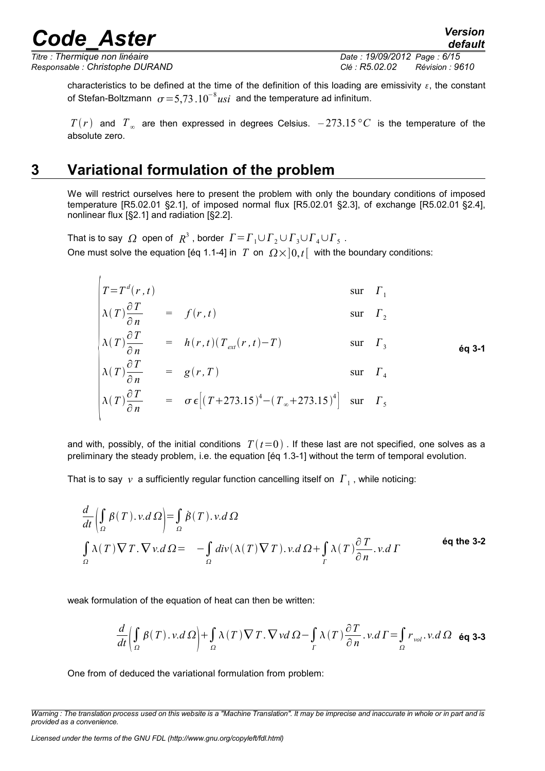*Titre : Thermique non linéaire Date : 19/09/2012 Page : 6/15 Responsable : Christophe DURAND Clé : R5.02.02 Révision : 9610*

 $\overline{1}$ 

characteristics to be defined at the time of the definition of this loading are emissivity  $\varepsilon$ , the constant of Stefan-Boltzmann  $\sigma = 5{,}73.10^{-8}u<sub>si</sub>$  and the temperature ad infinitum.

 $T(r)$  and  $T_{\infty}$  are then expressed in degrees Celsius.  $-273.15\,^{\circ}C$  is the temperature of the absolute zero.

### **3 Variational formulation of the problem**

We will restrict ourselves here to present the problem with only the boundary conditions of imposed temperature [R5.02.01 §2.1], of imposed normal flux [R5.02.01 §2.3], of exchange [R5.02.01 §2.4], nonlinear flux [§2.1] and radiation [§2.2].

That is to say  $|\Omega|$  open of  $|R^3$  , border  $|\varGamma| = \varGamma_1 \cup \varGamma_2 \cup \varGamma_3 \cup \varGamma_4 \cup \varGamma_5$  . One must solve the equation [éq 1.1-4] in *T* on  $\Omega \times ]0,t[$  with the boundary conditions:

$$
T = T^{d}(r, t)
$$
 
$$
\begin{cases}\n\lambda(T) \frac{\partial T}{\partial n} = f(r, t) & \text{sur } \Gamma_{1} \\
\lambda(T) \frac{\partial T}{\partial n} = h(r, t)(T_{ext}(r, t) - T) & \text{sur } \Gamma_{3} \\
\lambda(T) \frac{\partial T}{\partial n} = g(r, T) & \text{sur } \Gamma_{4} \\
\lambda(T) \frac{\partial T}{\partial n} = g(r, T) & \text{sur } \Gamma_{4} \\
\lambda(T) \frac{\partial T}{\partial n} = \sigma \epsilon [(T + 273.15)^{4} - (T_{\infty} + 273.15)^{4}] & \text{sur } \Gamma_{5}\n\end{cases}
$$

and with, possibly, of the initial conditions  $T(t=0)$ . If these last are not specified, one solves as a preliminary the steady problem, i.e. the equation [éq 1.3-1] without the term of temporal evolution.

That is to say  $|v\rangle$  a sufficiently regular function cancelling itself on  $|I_{\perp}|$ , while noticing:

$$
\frac{d}{dt} \left( \int_{\Omega} \beta(T) \cdot v \cdot d\Omega \right) = \int_{\Omega} \dot{\beta}(T) \cdot v \cdot d\Omega
$$
\n
$$
\int_{\Omega} \lambda(T) \nabla T \cdot \nabla v \cdot d\Omega = -\int_{\Omega} \text{div}(\lambda(T) \nabla T) \cdot v \cdot d\Omega + \int_{\Gamma} \lambda(T) \frac{\partial T}{\partial n} \cdot v \cdot d\Gamma
$$
\n
$$
\text{éq the 3-2}
$$

weak formulation of the equation of heat can then be written:

$$
\frac{d}{dt}\left(\int_{\Omega}\beta(T)\cdot v.d\Omega\right)+\int_{\Omega}\lambda(T)\nabla T.\nabla v d\Omega-\int_{T}\lambda(T)\frac{\partial T}{\partial n}.\,v.d\Gamma=\int_{\Omega}r_{vol}.\,v.d\Omega\quad\text{6q 3-3}
$$

One from of deduced the variational formulation from problem:

*Licensed under the terms of the GNU FDL (http://www.gnu.org/copyleft/fdl.html)*

*default*

*Warning : The translation process used on this website is a "Machine Translation". It may be imprecise and inaccurate in whole or in part and is provided as a convenience.*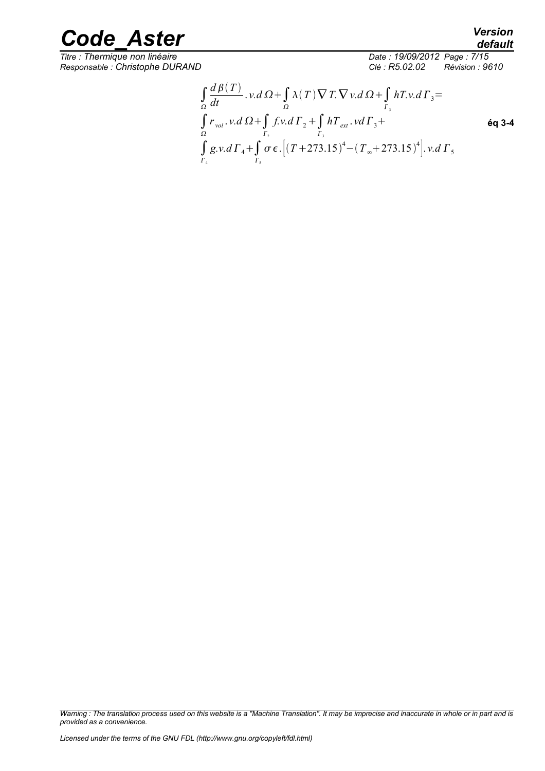*Responsable : Christophe DURAND Clé : R5.02.02 Révision : 9610*

*Titre : Thermique non linéaire Date : 19/09/2012 Page : 7/15*

*default*

$$
\int_{\Omega} \frac{d\beta(T)}{dt} \cdot v \cdot d\Omega + \int_{\Omega} \lambda(T) \nabla T \cdot \nabla v \cdot d\Omega + \int_{\Gamma_3} hT \cdot v \cdot d\Gamma_3 =
$$
\n
$$
\int_{\Omega} r_{vol} \cdot v \cdot d\Omega + \int_{\Gamma_2} f \cdot v \cdot d\Gamma_2 + \int_{\Gamma_3} hT_{ext} \cdot v \cdot d\Gamma_3 +
$$
\n
$$
\int_{\Gamma_4} g \cdot v \cdot d\Gamma_4 + \int_{\Gamma_5} \sigma \epsilon \cdot \left[ (T + 273.15)^4 - (T_{\infty} + 273.15)^4 \right] \cdot v \cdot d\Gamma_5
$$
\n
$$
\epsilon_1
$$

*Warning : The translation process used on this website is a "Machine Translation". It may be imprecise and inaccurate in whole or in part and is provided as a convenience.*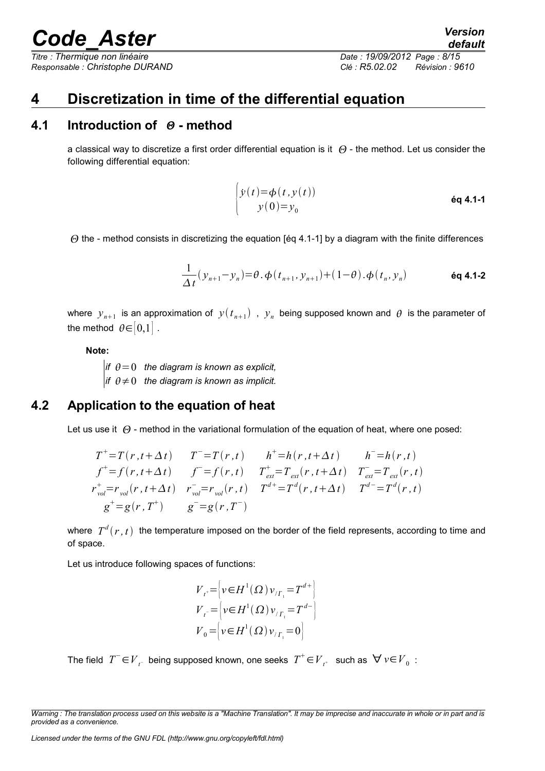*Responsable : Christophe DURAND Clé : R5.02.02 Révision : 9610*

*Titre : Thermique non linéaire Date : 19/09/2012 Page : 8/15*

### **4 Discretization in time of the differential equation**

#### **4.1 Introduction of - method**

a classical way to discretize a first order differential equation is it  $\Theta$  - the method. Let us consider the following differential equation:

$$
\begin{cases}\ny(t) = \phi(t, y(t)) \\
y(0) = y_0\n\end{cases}
$$

 $\Theta$  the - method consists in discretizing the equation [eq 4.1-1] by a diagram with the finite differences

$$
\frac{1}{\Delta t} (y_{n+1} - y_n) = \theta \cdot \phi(t_{n+1}, y_{n+1}) + (1 - \theta) \cdot \phi(t_n, y_n)
$$
\n
$$
\text{\'eq 4.1-2}
$$

where  $y_{n+1}$  is an approximation of  $y(t_{n+1})$  ,  $y_n$  being supposed known and  $\theta$  is the parameter of the method  $\theta \in [0,1]$ .

**Note:**

*if*  $\theta = 0$  the diagram is known as explicit, *if*  $\theta \neq 0$  the diagram is known as implicit.

#### **4.2 Application to the equation of heat**

Let us use it  $\Theta$  - method in the variational formulation of the equation of heat, where one posed:

$$
T^{+}=T(r, t+\Delta t) \t T^{-}=T(r, t) \t h^{+}=h(r, t+\Delta t) \t h^{-}=h(r, t)
$$
  
\n
$$
f^{+}=f(r, t+\Delta t) \t f^{-}=f(r, t) \t T^{+}_{ext}=T_{ext}(r, t+\Delta t) \t T^{-}_{ext}=T_{ext}(r, t)
$$
  
\n
$$
r^{+}_{vol}=r_{vol}(r, t+\Delta t) \t r_{vol}=r_{vol}(r, t) \t T^{d^{+}}=T^{d}(r, t+\Delta t) \t T^{d^{-}}=T^{d}(r, t)
$$
  
\n
$$
g^{+}=g(r, T^{+}) \t g^{-}=g(r, T^{-})
$$

where  $\;T^d(r,t)\;$  the temperature imposed on the border of the field represents, according to time and of space.

Let us introduce following spaces of functions:

$$
V_{t'} = \left\{ v \in H^1(\Omega) v_{/T_1} = T^{d+1} \right\}
$$
  
\n
$$
V_{t} = \left\{ v \in H^1(\Omega) v_{/T_1} = T^{d-1} \right\}
$$
  
\n
$$
V_0 = \left\{ v \in H^1(\Omega) v_{/T_1} = 0 \right\}
$$

The field  $T^-$ ∈ $V^-_{t^-}$  being supposed known, one seeks  $T^+$ ∈ $V^-_{t^+}$  such as  $\forall v \in V^-_0$  :

*Warning : The translation process used on this website is a "Machine Translation". It may be imprecise and inaccurate in whole or in part and is provided as a convenience.*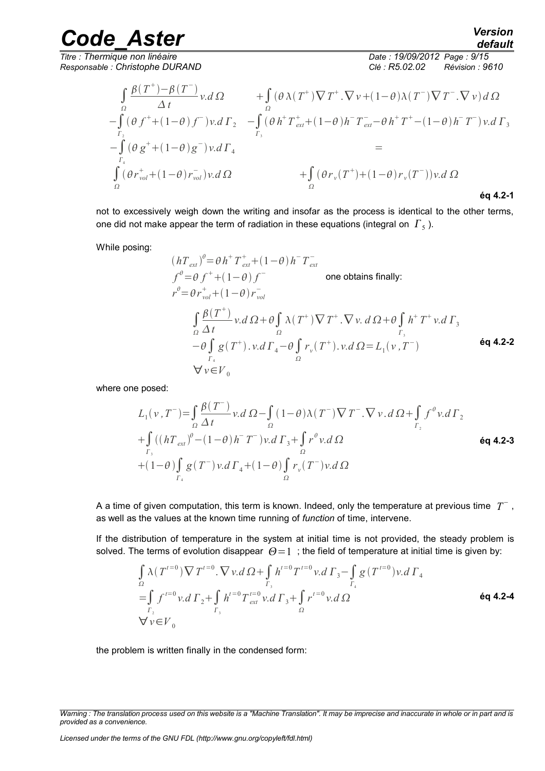*Responsable : Christophe DURAND Clé : R5.02.02 Révision : 9610*

*Titre : Thermique non linéaire Date : 19/09/2012 Page : 9/15*

$$
\int_{\Omega} \frac{\beta(T^{+}) - \beta(T^{-})}{\Delta t} v \, d\Omega \qquad + \int_{\Omega} (\theta \lambda(T^{+}) \nabla T^{+} \cdot \nabla v + (1 - \theta) \lambda(T^{-}) \nabla T^{-} \cdot \nabla v) \, d\Omega
$$
\n
$$
-\int_{\Gamma_{2}} (\theta f^{+} + (1 - \theta) f^{-}) v \, d\Gamma_{2} \qquad - \int_{\Gamma_{3}} (\theta h^{+} T^{+}_{ext} + (1 - \theta) h^{-} T^{-}_{ext} - \theta h^{+} T^{+} - (1 - \theta) h^{-} T^{-}) v \, d\Gamma_{3}
$$
\n
$$
-\int_{\Gamma_{4}} (\theta g^{+} + (1 - \theta) g^{-}) v \, d\Gamma_{4}
$$
\n
$$
= + \int_{\Omega} (\theta r_{v} (T^{+}) + (1 - \theta) r_{v} (T^{-})) v \, d\Omega
$$
\n
$$
+ \int_{\Omega} (\theta r_{v} (T^{+}) + (1 - \theta) r_{v} (T^{-})) v \, d\Omega
$$
\n
$$
\qquad \qquad \text{6g 4.2-1}
$$

not to excessively weigh down the writing and insofar as the process is identical to the other terms, one did not make appear the term of radiation in these equations (integral on  $\left| {\mathit{\Gamma} _5^{} } \right)$ .

While posing:

$$
(hT_{ext})^{\theta} = \theta h^{+} T_{ext}^{+} + (1 - \theta) h^{-} T_{ext}^{-}
$$
  
\n
$$
f^{\theta} = \theta f^{+} + (1 - \theta) f^{-}
$$
 one obtains finally:  
\n
$$
r^{\theta} = \theta r_{vol}^{+} + (1 - \theta) r_{vol}^{-}
$$
  
\n
$$
\int_{\Omega} \frac{\beta(T^{+})}{\Delta t} v \cdot d\Omega + \theta \int_{\Omega} \lambda(T^{+}) \nabla T^{+} \cdot \nabla v \cdot d\Omega + \theta \int_{r_{s}} h^{+} T^{+} v \cdot d\Gamma_{3}
$$
  
\n
$$
- \theta \int_{r_{4}}^{r_{4}} g(T^{+}) \cdot v \cdot d\Gamma_{4} - \theta \int_{\Omega} r_{v}(T^{+}) \cdot v \cdot d\Omega = L_{1}(v, T^{-})
$$
  
\n
$$
\forall v \in V_{0}
$$

where one posed:

$$
L_{1}(v, T^{-}) = \int_{\Omega} \frac{\beta(T^{-})}{\Delta t} v \, d\Omega - \int_{\Omega} (1 - \theta) \lambda(T^{-}) \nabla T^{-} \cdot \nabla v \cdot d\Omega + \int_{\Gamma_{2}} f^{\theta} v \, d\Gamma_{2}
$$
  
+ 
$$
\int_{\Gamma_{3}} ((hT_{ext})^{\theta} - (1 - \theta)h^{-}T^{-}) v \cdot d\Gamma_{3} + \int_{\Omega} r^{\theta} v \cdot d\Omega
$$
  
+ 
$$
(1 - \theta) \int_{\Gamma_{4}} g(T^{-}) v \cdot d\Gamma_{4} + (1 - \theta) \int_{\Omega} r_{v}(T^{-}) v \cdot d\Omega
$$

A a time of given computation, this term is known. Indeed, only the temperature at previous time  $\;T^{\!-}$  , as well as the values at the known time running of *function* of time, intervene.

If the distribution of temperature in the system at initial time is not provided, the steady problem is solved. The terms of evolution disappear  $\Theta = 1$ ; the field of temperature at initial time is given by:

$$
\int_{\Omega} \lambda (T^{t=0}) \nabla T^{t=0} \cdot \nabla v \cdot d \Omega + \int_{\Gamma_3} h^{t=0} T^{t=0} v \cdot d \Gamma_3 - \int_{\Gamma_4} g (T^{t=0}) v \cdot d \Gamma_4
$$
\n
$$
= \int_{\Gamma_2} f^{t=0} v \cdot d \Gamma_2 + \int_{\Gamma_3} h^{t=0} T^{t=0} v \cdot d \Gamma_3 + \int_{\Omega} r^{t=0} v \cdot d \Omega
$$
\n
$$
\forall v \in V_0
$$
\n6q 4.2-4

the problem is written finally in the condensed form:

*default*

*Warning : The translation process used on this website is a "Machine Translation". It may be imprecise and inaccurate in whole or in part and is provided as a convenience.*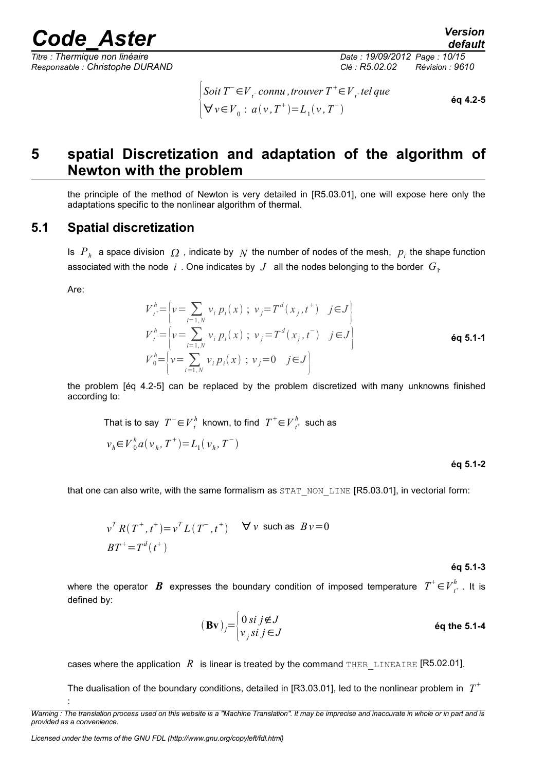*default*

*Responsable : Christophe DURAND Clé : R5.02.02 Révision : 9610*

 $\downarrow$ A  $S$ oit  $T$ <sup>−</sup>  $\in$   $V$ <sub>t</sub><sup>−</sup>  ${\it connu}$  , trouver  $T$ <sup>+</sup>  $\in$   $V$ <sub>t</sub>+ tel que  $\forall v \in V_0 : a(v, T^+) = L_1(v, T^-)$ **éq 4.2-5**

## **5 spatial Discretization and adaptation of the algorithm of Newton with the problem**

the principle of the method of Newton is very detailed in [R5.03.01], one will expose here only the adaptations specific to the nonlinear algorithm of thermal.

#### **5.1 Spatial discretization**

Is  $P_h$  a space division  $\Omega$  , indicate by  $\overline{N}$  the number of nodes of the mesh,  $\overline{p}_i$  the shape function associated with the node  $|i|$  . One indicates by  $|J|$  all the nodes belonging to the border  $|G|$ .

Are:

:

$$
V_{t}^{h} = \left\{ v = \sum_{i=1,N} v_i p_i(x) ; v_j = T^d(x_j, t^+) \quad j \in J \right\}
$$
  
\n
$$
V_{t}^{h} = \left\{ v = \sum_{i=1,N} v_i p_i(x) ; v_j = T^d(x_j, t^-) \quad j \in J \right\}
$$
  
\n
$$
V_{0}^{h} = \left\{ v = \sum_{i=1,N} v_i p_i(x) ; v_j = 0 \quad j \in J \right\}
$$

the problem [éq 4.2-5] can be replaced by the problem discretized with many unknowns finished according to:

That is to say 
$$
T^- \in V_t^h
$$
 known, to find  $T^+ \in V_{t^+}^h$  such as  $v_h \in V_0^h a(v_h, T^+) = L_1(v_h, T^-)$ 

#### **éq 5.1-2**

that one can also write, with the same formalism as  $STAT$  NON LINE [R5.03.01], in vectorial form:

$$
v^{T} R(T^{+}, t^{+}) = v^{T} L(T^{-}, t^{+}) \quad \forall v \text{ such as } Bv = 0
$$
  

$$
BT^{+} = T^{d}(t^{+})
$$

#### **éq 5.1-3**

where the operator  $\bm{B}$  expresses the boundary condition of imposed temperature  $T^+\!\in\!{V}^h_{t^+}$  . It is defined by:

$$
(\mathbf{B}\mathbf{v})_j = \begin{cases} 0 \text{ si } j \notin J \\ v_j \text{ si } j \in J \end{cases}
$$
éq the 5.1-4

cases where the application  $R$  is linear is treated by the command THER LINEAIRE [R5.02.01].

The dualisation of the boundary conditions, detailed in [R3.03.01], led to the nonlinear problem in  $T^{\pm}$ 

*Warning : The translation process used on this website is a "Machine Translation". It may be imprecise and inaccurate in whole or in part and is provided as a convenience.*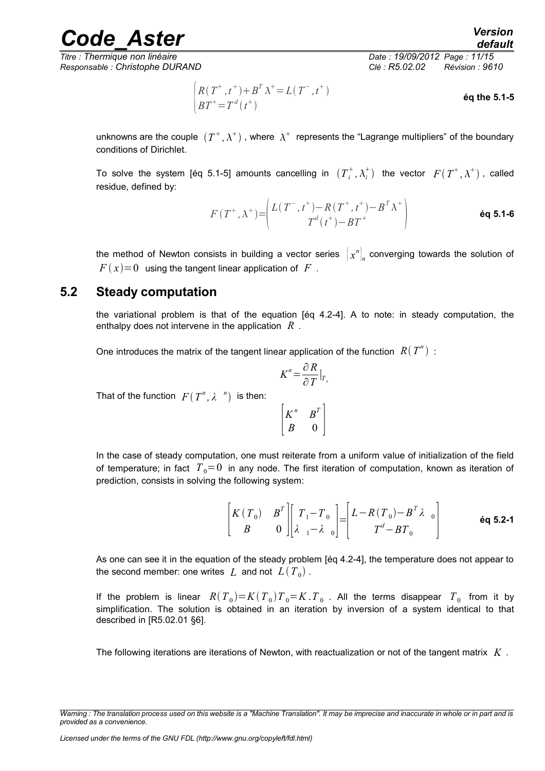*Titre : Thermique non linéaire Date : 19/09/2012 Page : 11/15 Responsable : Christophe DURAND Clé : R5.02.02 Révision : 9610*

$$
\begin{cases}\nR(T^+, t^+) + B^T \lambda^+ = L(T^-, t^+) \\
BT^+ = T^d(t^+)\n\end{cases}
$$
éq the 5.1-5

unknowns are the couple  $(T^+,\lambda^+)$  , where  $\,\lambda^+ \,$  represents the "Lagrange multipliers" of the boundary conditions of Dirichlet.

To solve the system [éq 5.1-5] amounts cancelling in  $(T_i^+, \lambda_i^+)$  the vector  $F(T^+, \lambda^+)$ , called residue, defined by:

$$
F(T^+, \lambda^+) = \begin{pmatrix} L(T^-, t^+) - R(T^+, t^+) - B^T \lambda^+ \\ T^d(t^+) - B T^+ \end{pmatrix}
$$
 6q 5.1-6

the method of Newton consists in building a vector series  $\left\| \boldsymbol{\mathit{x}}^{n} \right\|_{n}$  converging towards the solution of  $F(x)=0$  using the tangent linear application of F.

#### **5.2 Steady computation**

the variational problem is that of the equation [éq 4.2-4]. A to note: in steady computation, the enthalpy does not intervene in the application *R* .

One introduces the matrix of the tangent linear application of the function  $R(T^n)$ :

$$
K^n = \frac{\partial R}{\partial T}\big|_{T_n}
$$

That of the function  $F(T^n, \lambda^{-n})$  is then:

 $\mathsf{L}$  $K^n$  *B*<sup>*T*</sup>  $B \left| 0 \right|$ 

In the case of steady computation, one must reiterate from a uniform value of initialization of the field of temperature; in fact  $T_0=0$  in any node. The first iteration of computation, known as iteration of prediction, consists in solving the following system:

$$
\begin{bmatrix} K(T_0) & B^T \\ B & 0 \end{bmatrix} \begin{bmatrix} T_1 - T_0 \\ \lambda_1 - \lambda_0 \end{bmatrix} = \begin{bmatrix} L - R(T_0) - B^T \lambda_0 \\ T^d - B T_0 \end{bmatrix} \tag{6q 5.2-1}
$$

As one can see it in the equation of the steady problem [éq 4.2-4], the temperature does not appear to the second member: one writes  $|L|$  and not  $|L(T^{}_0)|$  .

If the problem is linear  $R(T_{0})=K(T_{0})T_{0}=K$ .  $T_{0}$  . All the terms disappear  $T_{0}$  from it by simplification. The solution is obtained in an iteration by inversion of a system identical to that described in [R5.02.01 §6].

The following iterations are iterations of Newton, with reactualization or not of the tangent matrix *K* .

*Warning : The translation process used on this website is a "Machine Translation". It may be imprecise and inaccurate in whole or in part and is provided as a convenience.*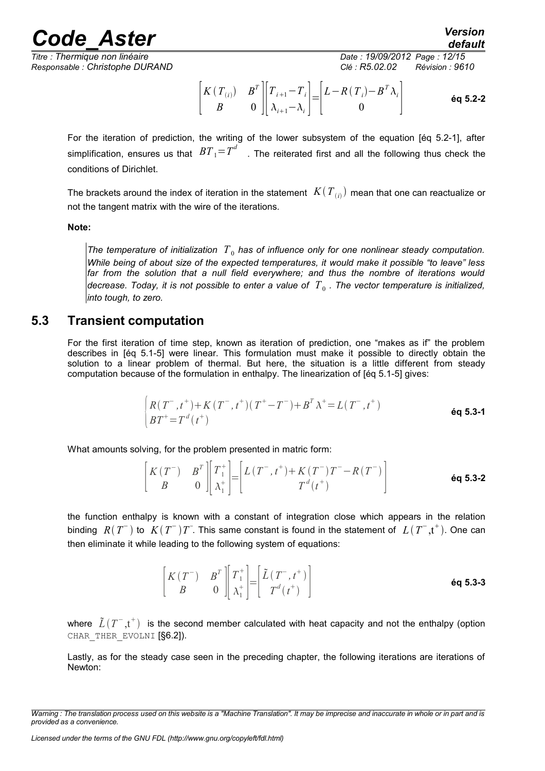*Titre : Thermique non linéaire Date : 19/09/2012 Page : 12/15 Responsable : Christophe DURAND Clé : R5.02.02 Révision : 9610*

*Code\_Aster Version default*

$$
\begin{bmatrix} K(T_{(i)}) & B^T \\ B & 0 \end{bmatrix} \begin{bmatrix} T_{i+1} - T_i \\ \lambda_{i+1} - \lambda_i \end{bmatrix} = \begin{bmatrix} L - R(T_i) - B^T \lambda_i \\ 0 \end{bmatrix} \tag{6q 5.2-2}
$$

For the iteration of prediction, the writing of the lower subsystem of the equation [éq 5.2-1], after simplification, ensures us that  $BT_1 = T^d$  . The reiterated first and all the following thus check the conditions of Dirichlet.

The brackets around the index of iteration in the statement  $|K(T_{(i)})\rangle$  mean that one can reactualize or not the tangent matrix with the wire of the iterations.

#### **Note:**

The temperature of initialization  $T_0$  has of influence only for one nonlinear steady computation. *While being of about size of the expected temperatures, it would make it possible "to leave" less far from the solution that a null field everywhere; and thus the nombre of iterations would* decrease. Today, it is not possible to enter a value of  $\,T_{\,0}$  . The vector temperature is initialized, *into tough, to zero.*

#### **5.3 Transient computation**

For the first iteration of time step, known as iteration of prediction, one "makes as if" the problem describes in [éq 5.1-5] were linear. This formulation must make it possible to directly obtain the solution to a linear problem of thermal. But here, the situation is a little different from steady computation because of the formulation in enthalpy. The linearization of [éq 5.1-5] gives:

$$
\begin{cases}\nR(T^-, t^+) + K(T^-, t^+)(T^+ - T^-) + B^T \lambda^+ = L(T^-, t^+) \\
BT^+ = T^d(t^+)\n\end{cases}
$$
 6q 5.3-1

What amounts solving, for the problem presented in matric form:

$$
\begin{bmatrix} K(T^-) & B^T \\ B & 0 \end{bmatrix} \begin{bmatrix} T_1^+ \\ \lambda_1^+ \end{bmatrix} = \begin{bmatrix} L(T^-, t^+) + K(T^-)T^- - R(T^-) \\ T^d(t^+) \end{bmatrix} \tag{6q 5.3-2}
$$

the function enthalpy is known with a constant of integration close which appears in the relation binding  $R(T^-)$  to  $K(T^-)T$ . This same constant is found in the statement of  $L(T^-,t^+)$ . One can then eliminate it while leading to the following system of equations:

$$
\begin{bmatrix} K(T^{-}) & B^{T} \\ B & 0 \end{bmatrix} \begin{bmatrix} T_{1}^{+} \\ \lambda_{1}^{+} \end{bmatrix} = \begin{bmatrix} \tilde{L}(T^{-}, t^{+}) \\ T^{d}(t^{+}) \end{bmatrix} \tag{6q 5.3-3}
$$

where  $\tilde{L}(T^-,t^+)$  is the second member calculated with heat capacity and not the enthalpy (option CHAR THER EVOLNI [§6.2]).

Lastly, as for the steady case seen in the preceding chapter, the following iterations are iterations of Newton:

*Warning : The translation process used on this website is a "Machine Translation". It may be imprecise and inaccurate in whole or in part and is provided as a convenience.*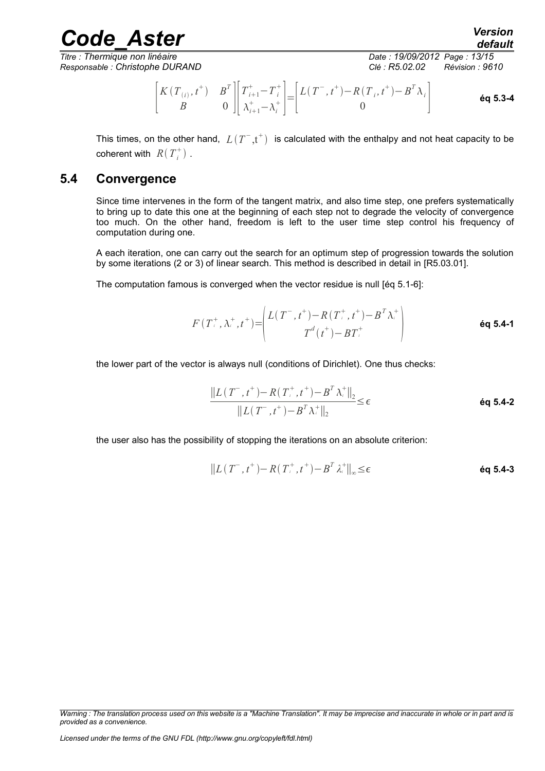*Titre : Thermique non linéaire Date : 19/09/2012 Page : 13/15 Responsable : Christophe DURAND Clé : R5.02.02 Révision : 9610*

*default*

$$
\begin{bmatrix} K(T_{(i)}, t^+) & B^T \ B & 0 \end{bmatrix} \begin{bmatrix} T_{i+1}^+ - T_i^+ \\ \lambda_{i+1}^+ - \lambda_i^+ \end{bmatrix} = \begin{bmatrix} L(T^-, t^+) - R(T_i, t^+) - B^T \lambda_i \\ 0 \end{bmatrix}
$$
 6q 5.3-4

This times, on the other hand,  $L(T^-,t^+)$  is calculated with the enthalpy and not heat capacity to be coherent with  $R(T_i^+)$ .

*Code\_Aster Version*

#### **5.4 Convergence**

Since time intervenes in the form of the tangent matrix, and also time step, one prefers systematically to bring up to date this one at the beginning of each step not to degrade the velocity of convergence too much. On the other hand, freedom is left to the user time step control his frequency of computation during one.

A each iteration, one can carry out the search for an optimum step of progression towards the solution by some iterations (2 or 3) of linear search. This method is described in detail in [R5.03.01].

The computation famous is converged when the vector residue is null [éq 5.1-6]:

$$
F(T^+_{i}, \lambda^+, t^+) = \begin{pmatrix} L(T^-, t^+) - R(T^+_{i}, t^+) - B^T \lambda^+ \\ T^d(t^+) - B T^+_{i} \end{pmatrix}
$$
 6q 5.4-1

the lower part of the vector is always null (conditions of Dirichlet). One thus checks:

$$
\frac{\|L(T^-, t^+) - R(T^+, t^+) - B^T \lambda^+ \|_2}{\|L(T^-, t^+) - B^T \lambda^+ \|_2} \leq \epsilon
$$
\n
$$
\text{ éq 5.4-2}
$$

the user also has the possibility of stopping the iterations on an absolute criterion:

$$
||L(T^-, t^+) - R(T^+, t^+) - B^T \lambda^+||_{\infty} \le \epsilon
$$

*Warning : The translation process used on this website is a "Machine Translation". It may be imprecise and inaccurate in whole or in part and is provided as a convenience.*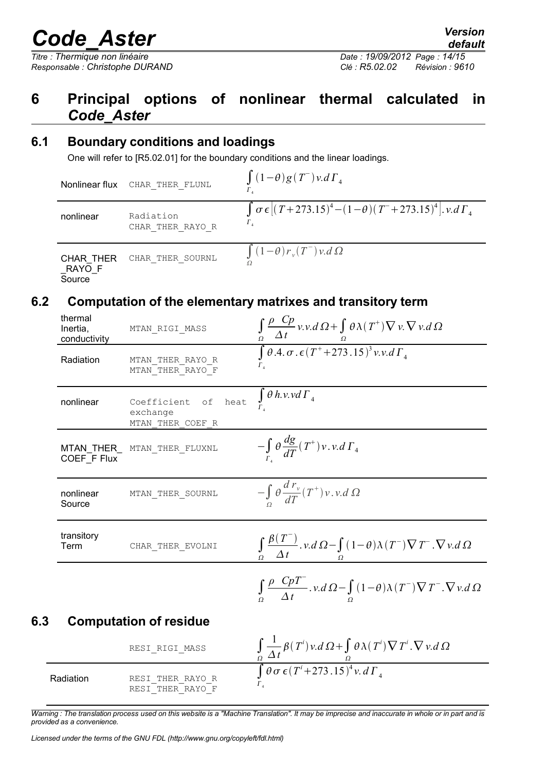*Responsable : Christophe DURAND Clé : R5.02.02 Révision : 9610*

### **6 Principal options of nonlinear thermal calculated in** *Code\_Aster*

#### **6.1 Boundary conditions and loadings**

One will refer to [R5.02.01] for the boundary conditions and the linear loadings.

Nonlinear flux CHAR\_THER\_FLUNL  $\Gamma_{4}$  $(1-\theta)g(T^{-})v.d\Gamma_{4}$ nonlinear Radiation CHAR\_THER\_RAYO\_R ∫  $\Gamma_{4}$  $\sigma \epsilon [(T+273.15)^4 - (1-\theta)(T+273.15)^4]$ . *v.d*  $\Gamma_4$  $CHAR$ <sub>\_</sub>THER CHAR\_THER\_SOURNL  $\int_{0}^{1}$  $(1-\theta) r_v(T^-) v.d \Omega$ 

RAYO<sub>F</sub> **Source** Ω

#### **6.2 Computation of the elementary matrixes and transitory term**

|     | thermal<br>Inertia,<br>conductivity | MTAN_RIGI_MASS                                            | $\frac{\int_{\Omega} \frac{\rho}{\Delta t} \frac{Cp}{\nu \nu d\Omega} + \int_{\Omega} \theta \lambda(T^+) \nabla \nu \nabla \nu d\Omega}{\int \theta A \sigma \cdot \epsilon (T^+ + 273.15)^3 \nu \nu d\Gamma_4}$ |
|-----|-------------------------------------|-----------------------------------------------------------|-------------------------------------------------------------------------------------------------------------------------------------------------------------------------------------------------------------------|
|     | Radiation                           | MTAN THER RAYO R<br>MTAN THER RAYO F                      |                                                                                                                                                                                                                   |
|     | nonlinear                           | heat<br>Coefficient<br>оf<br>exchange<br>MTAN THER COEF R | $\int_{\Gamma} \theta \, h.v.v \, d\Gamma_4$                                                                                                                                                                      |
|     | COEF_F Flux                         | MTAN_THER_ MTAN THER FLUXNL                               | $-\int_{\Gamma} \theta \frac{dg}{dT}(T^{\dagger})v.v.d\Gamma_4$                                                                                                                                                   |
|     | nonlinear<br>Source                 | MTAN THER SOURNL                                          | $-\int \theta \frac{d r_v}{dT}(T^{\dagger})v.v.d \Omega$                                                                                                                                                          |
|     | transitory<br>Term                  | CHAR THER EVOLNI                                          | $\int_{\Omega} \frac{\beta(T)}{\Delta t} \cdot v \, d\Omega - \int_{\Omega} (1-\theta) \lambda(T) \nabla T \cdot \nabla v \, d\Omega$                                                                             |
|     |                                     |                                                           | $\int_{\Omega} \frac{\rho}{\Delta t} \frac{C\rho T}{\Delta t} \cdot v \, d\Omega - \int_{\Omega} (1-\theta) \lambda(T) \nabla T \cdot \nabla v \, d\Omega$                                                        |
| 6.3 |                                     | <b>Computation of residue</b>                             |                                                                                                                                                                                                                   |

#### RESI RIGI\_MASS Ω 1 *t*  $\beta(T^i) \nu.d \Omega + \int$ Ω  $\theta$   $\lambda$  (  $T^i$  )  $\nabla$   $T^i$  .  $\nabla$   $v$  .d  $\Omega$ Radiation RESI THER RAYO R RESI<sup>THER\_RAYO\_F</sup> ∫  $\Gamma_{4}$  $\theta$   $\sigma$   $\epsilon$  (  $T$ <sup>*i*</sup> + 273 .15 )<sup>4</sup> v. d  $\Gamma$  <sub>4</sub>

*Warning : The translation process used on this website is a "Machine Translation". It may be imprecise and inaccurate in whole or in part and is provided as a convenience.*

*Licensed under the terms of the GNU FDL (http://www.gnu.org/copyleft/fdl.html)*